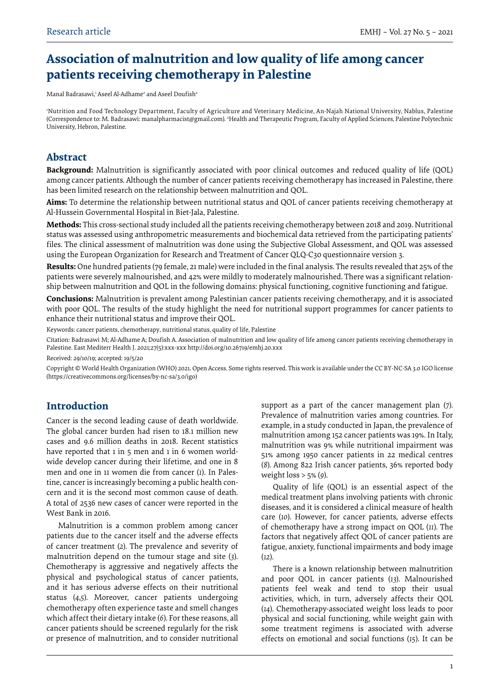# **Association of malnutrition and low quality of life among cancer patients receiving chemotherapy in Palestine**

Manal Badrasawi,<del>'</del> Aseel Al-Adhame<sup>2</sup> and Aseel Doufish<del>'</del>

1 Nutrition and Food Technology Department, Faculty of Agriculture and Veterinary Medicine, An-Najah National University, Nablus, Palestine (Correspondence to: M. Badrasawi: manalpharmacist@gmail.com). 2 Health and Therapeutic Program, Faculty of Applied Sciences, Palestine Polytechnic University, Hebron, Palestine.

### **Abstract**

**Background:** Malnutrition is significantly associated with poor clinical outcomes and reduced quality of life (QOL) among cancer patients. Although the number of cancer patients receiving chemotherapy has increased in Palestine, there has been limited research on the relationship between malnutrition and QOL.

**Aims:** To determine the relationship between nutritional status and QOL of cancer patients receiving chemotherapy at Al-Hussein Governmental Hospital in Biet-Jala, Palestine.

**Methods:** This cross-sectional study included all the patients receiving chemotherapy between 2018 and 2019. Nutritional status was assessed using anthropometric measurements and biochemical data retrieved from the participating patients' files. The clinical assessment of malnutrition was done using the Subjective Global Assessment, and QOL was assessed using the European Organization for Research and Treatment of Cancer QLQ-C30 questionnaire version 3.

**Results:** One hundred patients (79 female, 21 male) were included in the final analysis. The results revealed that 25% of the patients were severely malnourished, and 42% were mildly to moderately malnourished. There was a significant relationship between malnutrition and QOL in the following domains: physical functioning, cognitive functioning and fatigue.

**Conclusions:** Malnutrition is prevalent among Palestinian cancer patients receiving chemotherapy, and it is associated with poor QOL. The results of the study highlight the need for nutritional support programmes for cancer patients to enhance their nutritional status and improve their QOL.

Keywords: cancer patients, chemotherapy, nutritional status, quality of life, Palestine

Citation: Badrasawi M; Al-Adhame A; Doufish A. Association of malnutrition and low quality of life among cancer patients receiving chemotherapy in Palestine. East Mediterr Health J. 2021;27(5):xxx-xxx http://doi.org/10.26719/emhj.20.xxx

Received: 29/10/19; accepted: 19/5/20

Copyright © World Health Organization (WHO) 2021. Open Access. Some rights reserved. This work is available under the CC BY-NC-SA 3.0 IGO license (https://creativecommons.org/licenses/by-nc-sa/3.0/igo)

## **Introduction**

Cancer is the second leading cause of death worldwide. The global cancer burden had risen to 18.1 million new cases and 9.6 million deaths in 2018. Recent statistics have reported that 1 in 5 men and 1 in 6 women worldwide develop cancer during their lifetime, and one in 8 men and one in 11 women die from cancer (*1*). In Palestine, cancer is increasingly becoming a public health concern and it is the second most common cause of death. A total of 2536 new cases of cancer were reported in the West Bank in 2016.

Malnutrition is a common problem among cancer patients due to the cancer itself and the adverse effects of cancer treatment (*2*). The prevalence and severity of malnutrition depend on the tumour stage and site (*3*). Chemotherapy is aggressive and negatively affects the physical and psychological status of cancer patients, and it has serious adverse effects on their nutritional status (*4*,*5*). Moreover, cancer patients undergoing chemotherapy often experience taste and smell changes which affect their dietary intake (*6*). For these reasons, all cancer patients should be screened regularly for the risk or presence of malnutrition, and to consider nutritional support as a part of the cancer management plan (*7*). Prevalence of malnutrition varies among countries. For example, in a study conducted in Japan, the prevalence of malnutrition among 152 cancer patients was 19%. In Italy, malnutrition was 9% while nutritional impairment was 51% among 1950 cancer patients in 22 medical centres (*8*). Among 822 Irish cancer patients, 36% reported body weight loss > 5% (*9*).

Quality of life (QOL) is an essential aspect of the medical treatment plans involving patients with chronic diseases, and it is considered a clinical measure of health care (*10*). However, for cancer patients, adverse effects of chemotherapy have a strong impact on QOL (*11*). The factors that negatively affect QOL of cancer patients are fatigue, anxiety, functional impairments and body image (*12*).

There is a known relationship between malnutrition and poor QOL in cancer patients (*13*). Malnourished patients feel weak and tend to stop their usual activities, which, in turn, adversely affects their QOL (*14*). Chemotherapy-associated weight loss leads to poor physical and social functioning, while weight gain with some treatment regimens is associated with adverse effects on emotional and social functions (*15*). It can be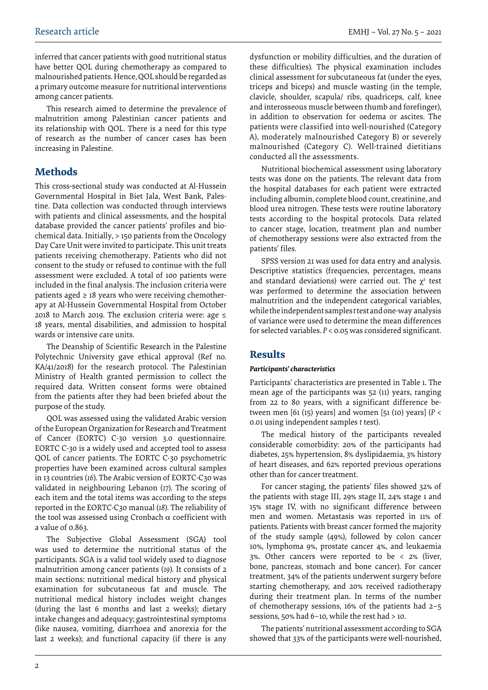inferred that cancer patients with good nutritional status have better QOL during chemotherapy as compared to malnourished patients. Hence, QOL should be regarded as a primary outcome measure for nutritional interventions among cancer patients.

This research aimed to determine the prevalence of malnutrition among Palestinian cancer patients and its relationship with QOL. There is a need for this type of research as the number of cancer cases has been increasing in Palestine.

# **Methods**

This cross-sectional study was conducted at Al-Hussein Governmental Hospital in Biet Jala, West Bank, Palestine. Data collection was conducted through interviews with patients and clinical assessments, and the hospital database provided the cancer patients' profiles and biochemical data. Initially, > 150 patients from the Oncology Day Care Unit were invited to participate. This unit treats patients receiving chemotherapy. Patients who did not consent to the study or refused to continue with the full assessment were excluded. A total of 100 patients were included in the final analysis. The inclusion criteria were patients aged  $\geq$  18 years who were receiving chemotherapy at Al-Hussein Governmental Hospital from October 2018 to March 2019. The exclusion criteria were: age ≤ 18 years, mental disabilities, and admission to hospital wards or intensive care units.

The Deanship of Scientific Research in the Palestine Polytechnic University gave ethical approval (Ref no. KA/41/2018) for the research protocol. The Palestinian Ministry of Health granted permission to collect the required data. Written consent forms were obtained from the patients after they had been briefed about the purpose of the study.

QOL was assessed using the validated Arabic version of the European Organization for Research and Treatment of Cancer (EORTC) C-30 version 3.0 questionnaire. EORTC C-30 is a widely used and accepted tool to assess QOL of cancer patients. The EORTC C-30 psychometric properties have been examined across cultural samples in 13 countries (*16*). The Arabic version of EORTC-C30 was validated in neighbouring Lebanon (*17*). The scoring of each item and the total items was according to the steps reported in the EORTC-C30 manual (*18*). The reliability of the tool was assessed using Cronbach  $\alpha$  coefficient with a value of 0.863.

The Subjective Global Assessment (SGA) tool was used to determine the nutritional status of the participants. SGA is a valid tool widely used to diagnose malnutrition among cancer patients (*19*). It consists of 2 main sections: nutritional medical history and physical examination for subcutaneous fat and muscle. The nutritional medical history includes weight changes (during the last 6 months and last 2 weeks); dietary intake changes and adequacy; gastrointestinal symptoms (like nausea, vomiting, diarrhoea and anorexia for the last 2 weeks); and functional capacity (if there is any

dysfunction or mobility difficulties, and the duration of these difficulties). The physical examination includes clinical assessment for subcutaneous fat (under the eyes, triceps and biceps) and muscle wasting (in the temple, clavicle, shoulder, scapula/ ribs, quadriceps, calf, knee and interosseous muscle between thumb and forefinger), in addition to observation for oedema or ascites. The patients were classified into well-nourished (Category A), moderately malnourished Category B) or severely malnourished (Category C). Well-trained dietitians conducted all the assessments.

Nutritional biochemical assessment using laboratory tests was done on the patients. The relevant data from the hospital databases for each patient were extracted including albumin, complete blood count, creatinine, and blood urea nitrogen. These tests were routine laboratory tests according to the hospital protocols. Data related to cancer stage, location, treatment plan and number of chemotherapy sessions were also extracted from the patients' files.

SPSS version 21 was used for data entry and analysis. Descriptive statistics (frequencies, percentages, means and standard deviations) were carried out. The  $\chi^2$  test was performed to determine the association between malnutrition and the independent categorical variables, while the independent samples *t* test and one-way analysis of variance were used to determine the mean differences for selected variables. *P* < 0.05 was considered significant.

## **Results**

#### *Participants' characteristics*

Participants' characteristics are presented in Table 1. The mean age of the participants was 52 (11) years, ranging from 22 to 80 years, with a significant difference between men [61 (15) years] and women [51 (10) years] (*P* < 0.01 using independent samples *t* test).

The medical history of the participants revealed considerable comorbidity: 20% of the participants had diabetes, 25% hypertension, 8% dyslipidaemia, 3% history of heart diseases, and 62% reported previous operations other than for cancer treatment.

For cancer staging, the patients' files showed 32% of the patients with stage III, 29% stage II, 24% stage 1 and 15% stage IV, with no significant difference between men and women. Metastasis was reported in 11% of patients. Patients with breast cancer formed the majority of the study sample (49%), followed by colon cancer 10%, lymphoma 9%, prostate cancer 4%, and leukaemia 3%. Other cancers were reported to be < 2% (liver, bone, pancreas, stomach and bone cancer). For cancer treatment, 34% of the patients underwent surgery before starting chemotherapy, and 20% received radiotherapy during their treatment plan. In terms of the number of chemotherapy sessions, 16% of the patients had 2–5 sessions, 50% had 6–10, while the rest had > 10.

The patients' nutritional assessment according to SGA showed that 33% of the participants were well-nourished,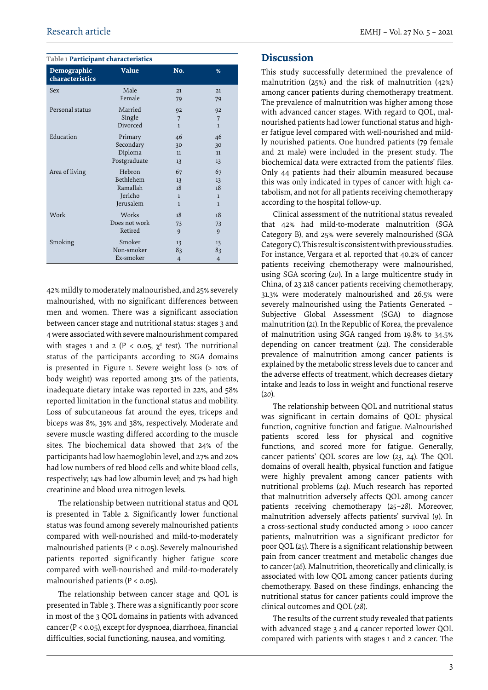#### **Table 1 Participant characteristics**

| Demographic<br>characteristics | <b>Value</b>  | No.            | %              |
|--------------------------------|---------------|----------------|----------------|
| Sex                            | Male          | 21             | 21             |
|                                | Female        | 79             | 79             |
| Personal status                | Married       | 92             | 92             |
|                                | Single        | 7              | 7              |
|                                | Divorced      | $\mathbf{1}$   | $\mathbf{1}$   |
| Education                      | Primary       | 46             | 46             |
|                                | Secondary     | 30             | 30             |
|                                | Diploma       | 11             | 11             |
|                                | Postgraduate  | 13             | 13             |
| Area of living                 | Hebron        | 67             | 67             |
|                                | Bethlehem     | 13             | 13             |
|                                | Ramallah      | 18             | 18             |
|                                | Jericho       | $\mathbf{1}$   | $\mathbf{1}$   |
|                                | Jerusalem     | $\mathbf{1}$   | $\mathbf{1}$   |
| Work                           | Works         | 18             | 18             |
|                                | Does not work | 73             | 73             |
|                                | Retired       | 9              | 9              |
| Smoking                        | Smoker        | 13             | 13             |
|                                | Non-smoker    | 83             | 83             |
|                                | Ex-smoker     | $\overline{4}$ | $\overline{4}$ |

42% mildly to moderately malnourished, and 25% severely malnourished, with no significant differences between men and women. There was a significant association between cancer stage and nutritional status: stages 3 and 4 were associated with severe malnourishment compared with stages 1 and 2 ( $P < 0.05$ ,  $\chi^2$  test). The nutritional status of the participants according to SGA domains is presented in Figure 1. Severe weight loss (> 10% of body weight) was reported among 31% of the patients, inadequate dietary intake was reported in 22%, and 58% reported limitation in the functional status and mobility. Loss of subcutaneous fat around the eyes, triceps and biceps was 8%, 39% and 38%, respectively. Moderate and severe muscle wasting differed according to the muscle sites. The biochemical data showed that 24% of the participants had low haemoglobin level, and 27% and 20% had low numbers of red blood cells and white blood cells, respectively; 14% had low albumin level; and 7% had high creatinine and blood urea nitrogen levels.

The relationship between nutritional status and QOL is presented in Table 2. Significantly lower functional status was found among severely malnourished patients compared with well-nourished and mild-to-moderately malnourished patients ( $P < 0.05$ ). Severely malnourished patients reported significantly higher fatigue score compared with well-nourished and mild-to-moderately malnourished patients ( $P < 0.05$ ).

The relationship between cancer stage and QOL is presented in Table 3. There was a significantly poor score in most of the 3 QOL domains in patients with advanced cancer (P < 0.05), except for dyspnoea, diarrhoea, financial difficulties, social functioning, nausea, and vomiting.

#### **Discussion**

This study successfully determined the prevalence of malnutrition (25%) and the risk of malnutrition (42%) among cancer patients during chemotherapy treatment. The prevalence of malnutrition was higher among those with advanced cancer stages. With regard to QOL, malnourished patients had lower functional status and higher fatigue level compared with well-nourished and mildly nourished patients. One hundred patients (79 female and 21 male) were included in the present study. The biochemical data were extracted from the patients' files. Only 44 patients had their albumin measured because this was only indicated in types of cancer with high catabolism, and not for all patients receiving chemotherapy according to the hospital follow-up.

Clinical assessment of the nutritional status revealed that 42% had mild-to-moderate malnutrition (SGA Category B), and 25% were severely malnourished (SGA Category C). This result is consistent with previous studies. For instance, Vergara et al. reported that 40.2% of cancer patients receiving chemotherapy were malnourished, using SGA scoring (*20*). In a large multicentre study in China, of 23 218 cancer patients receiving chemotherapy, 31.3% were moderately malnourished and 26.5% were severely malnourished using the Patients Generated – Subjective Global Assessment (SGA) to diagnose malnutrition (*21*). In the Republic of Korea, the prevalence of malnutrition using SGA ranged from 19.8% to 34.5% depending on cancer treatment (*22*). The considerable prevalence of malnutrition among cancer patients is explained by the metabolic stress levels due to cancer and the adverse effects of treatment, which decreases dietary intake and leads to loss in weight and functional reserve (*20*).

The relationship between QOL and nutritional status was significant in certain domains of QOL: physical function, cognitive function and fatigue. Malnourished patients scored less for physical and cognitive functions, and scored more for fatigue. Generally, cancer patients' QOL scores are low (*23*, *24*). The QOL domains of overall health, physical function and fatigue were highly prevalent among cancer patients with nutritional problems (*24*). Much research has reported that malnutrition adversely affects QOL among cancer patients receiving chemotherapy (*25*–*28*). Moreover, malnutrition adversely affects patients' survival (*9*). In a cross-sectional study conducted among > 1000 cancer patients, malnutrition was a significant predictor for poor QOL (*25*). There is a significant relationship between pain from cancer treatment and metabolic changes due to cancer (*26*). Malnutrition, theoretically and clinically, is associated with low QOL among cancer patients during chemotherapy. Based on these findings, enhancing the nutritional status for cancer patients could improve the clinical outcomes and QOL (*28*).

The results of the current study revealed that patients with advanced stage 3 and 4 cancer reported lower QOL compared with patients with stages 1 and 2 cancer. The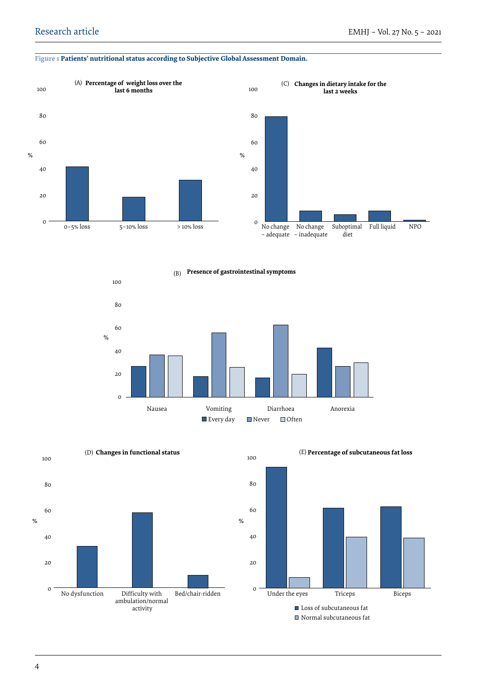#### **Figure 1 Patients' nutritional status according to Subjective Global Assessment Domain.**





**Changes in dietary intake for the** 

(B) **Presence of gastrointestinal symptoms** 







■ Normal subcutaneous fat

#### 4

activity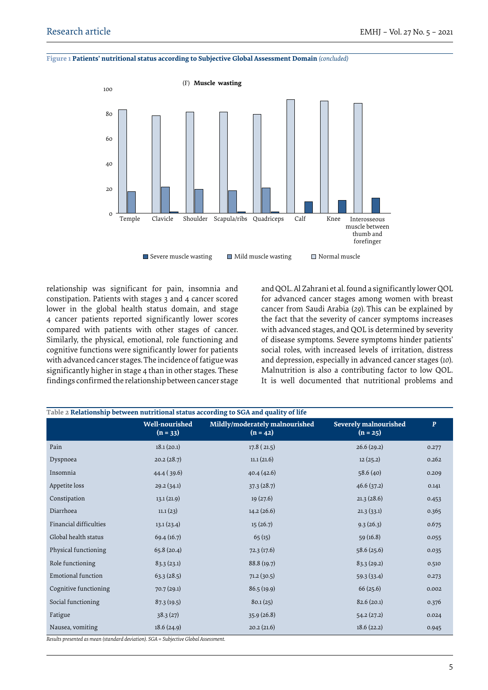**Figure 1 Patients' nutritional status according to Subjective Global Assessment Domain** *(concluded)*



relationship was significant for pain, insomnia and constipation. Patients with stages 3 and 4 cancer scored lower in the global health status domain, and stage 4 cancer patients reported significantly lower scores compared with patients with other stages of cancer. Similarly, the physical, emotional, role functioning and cognitive functions were significantly lower for patients with advanced cancer stages. The incidence of fatigue was significantly higher in stage 4 than in other stages. These findings confirmed the relationship between cancer stage

and QOL. Al Zahrani et al. found a significantly lower QOL for advanced cancer stages among women with breast cancer from Saudi Arabia (*29*). This can be explained by the fact that the severity of cancer symptoms increases with advanced stages, and QOL is determined by severity of disease symptoms. Severe symptoms hinder patients' social roles, with increased levels of irritation, distress and depression, especially in advanced cancer stages (*10*). Malnutrition is also a contributing factor to low QOL. It is well documented that nutritional problems and

|                           | <b>Well-nourished</b><br>$(n = 33)$ | Mildly/moderately malnourished<br>$(n = 42)$ | <b>Severely malnourished</b><br>$(n = 25)$ | $\mathbf{P}$ |
|---------------------------|-------------------------------------|----------------------------------------------|--------------------------------------------|--------------|
| Pain                      | 18.1(20.1)                          | 17.8(21.5)                                   | 26.6(29.2)                                 | 0.277        |
| Dyspnoea                  | 20.2(28.7)                          | 11.1(21.6)                                   | 12(25.2)                                   | 0.262        |
| Insomnia                  | 44.4(39.6)                          | 40.4(42.6)                                   | 58.6(40)                                   | 0.209        |
| Appetite loss             | 29.2(34.1)                          | 37.3(28.7)                                   | 46.6(37.2)                                 | 0.141        |
| Constipation              | 13.1(21.9)                          | 19(27.6)                                     | 21.3(28.6)                                 | 0.453        |
| Diarrhoea                 | 11.1(23)                            | 14.2(26.6)                                   | 21.3(33.1)                                 | 0.365        |
| Financial difficulties    | 13.1(23.4)                          | 15(26.7)                                     | 9.3(26.3)                                  | 0.675        |
| Global health status      | 69.4(16.7)                          | 65(15)                                       | 59(16.8)                                   | 0.055        |
| Physical functioning      | 65.8(20.4)                          | 72.3(17.6)                                   | 58.6(25.6)                                 | 0.035        |
| Role functioning          | 83.3(23.1)                          | 88.8 (19.7)                                  | 83.3(29.2)                                 | 0.510        |
| <b>Emotional function</b> | 63.3(28.5)                          | 71.2(30.5)                                   | 59.3(33.4)                                 | 0.273        |
| Cognitive functioning     | 70.7(29.1)                          | 86.5(19.9)                                   | 66(25.6)                                   | 0.002        |
| Social functioning        | 87.3(19.5)                          | 80.1(25)                                     | 82.6(20.1)                                 | 0.376        |
| Fatigue                   | 38.3(27)                            | 35.9(26.8)                                   | 54.2(27.2)                                 | 0.024        |
| Nausea, vomiting          | 18.6(24.9)                          | 20.2(21.6)                                   | 18.6(22.2)                                 | 0.945        |

*Results presented as mean (standard deviation). SGA = Subjective Global Assessment.*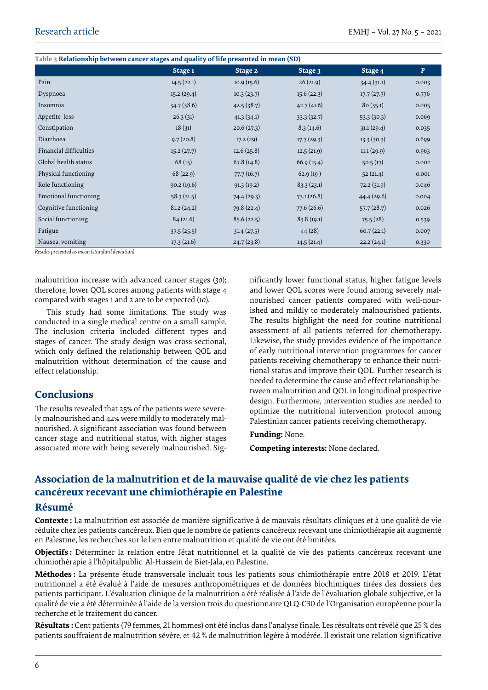| Table 3 Relationship between cancer stages and quality of life presented in mean (SD) |            |            |            |            |              |  |  |  |
|---------------------------------------------------------------------------------------|------------|------------|------------|------------|--------------|--|--|--|
|                                                                                       | Stage 1    | Stage 2    | Stage 3    | Stage 4    | $\mathbf{P}$ |  |  |  |
| Pain                                                                                  | 14.5(22.1) | 10.9(15.6) | 26(21.9)   | 34.4(31.1) | 0.003        |  |  |  |
| Dyspnoea                                                                              | 15.2(29.4) | 10.3(23.7) | 15.6(22.3) | 17.7(27.7) | 0.776        |  |  |  |
| Insomnia                                                                              | 34.7(38.6) | 42.5(38.7) | 42.7(41.6) | 80(35.1)   | 0.005        |  |  |  |
| Appetite loss                                                                         | 26.3(31)   | 41.3(34.1) | 33.3(32.7) | 53.3(30.3) | 0.069        |  |  |  |
| Constipation                                                                          | 18(31)     | 20.6(27.3) | 8.3(14.6)  | 31.1(29.4) | 0.035        |  |  |  |
| Diarrhoea                                                                             | 9.7(20.8)  | 17.2(29)   | 17.7(29.3) | 13.3(30.3) | 0.699        |  |  |  |
| Financial difficulties                                                                | 15.2(27.7) | 12.6(25.8) | 12.5(21.9) | 11.1(29.9) | 0.963        |  |  |  |
| Global health status                                                                  | 68(15)     | 67.8(14.8) | 66.9(15.4) | 50.5(17)   | 0.002        |  |  |  |
| Physical functioning                                                                  | 68(22.9)   | 77.7(16.7) | 62.9(19)   | 52(21.4)   | 0.001        |  |  |  |
| Role functioning                                                                      | 90.2(19.6) | 91.3(19.2) | 83.3(23.1) | 72.2(31.9) | 0.046        |  |  |  |
| Emotional functioning                                                                 | 58.3(31.5) | 74.4(29.3) | 73.1(26.8) | 44.4(29.6) | 0.004        |  |  |  |
| Cognitive functioning                                                                 | 81.2(24.2) | 79.8(22.4) | 77.6(26.6) | 57.7(28.7) | 0.026        |  |  |  |
| Social functioning                                                                    | 84(21.6)   | 85.6(22.5) | 83.8(19.1) | 75.5(28)   | 0.539        |  |  |  |
| Fatigue                                                                               | 37.5(25.5) | 31.4(27.5) | 44(28)     | 60.7(22.1) | 0.007        |  |  |  |
| Nausea, vomiting                                                                      | 17.3(21.6) | 24.7(23.8) | 14.5(21.4) | 22.2(24.1) | 0.330        |  |  |  |

*Results presented as mean (standard deviation).*

malnutrition increase with advanced cancer stages (*30*); therefore, lower QOL scores among patients with stage 4 compared with stages 1 and 2 are to be expected (*10*).

This study had some limitations. The study was conducted in a single medical centre on a small sample. The inclusion criteria included different types and stages of cancer. The study design was cross-sectional, which only defined the relationship between QOL and malnutrition without determination of the cause and effect relationship.

## **Conclusions**

The results revealed that 25% of the patients were severely malnourished and 42% were mildly to moderately malnourished. A significant association was found between cancer stage and nutritional status, with higher stages associated more with being severely malnourished. Sig-

nificantly lower functional status, higher fatigue levels and lower QOL scores were found among severely malnourished cancer patients compared with well-nourished and mildly to moderately malnourished patients. The results highlight the need for routine nutritional assessment of all patients referred for chemotherapy. Likewise, the study provides evidence of the importance of early nutritional intervention programmes for cancer patients receiving chemotherapy to enhance their nutritional status and improve their QOL. Further research is needed to determine the cause and effect relationship between malnutrition and QOL in longitudinal prospective design. Furthermore, intervention studies are needed to optimize the nutritional intervention protocol among Palestinian cancer patients receiving chemotherapy.

#### **Funding:** None.

**Competing interests:** None declared.

# **Association de la malnutrition et de la mauvaise qualité de vie chez les patients cancéreux recevant une chimiothérapie en Palestine**

#### **Résumé**

**Contexte :** La malnutrition est associée de manière significative à de mauvais résultats cliniques et à une qualité de vie réduite chez les patients cancéreux. Bien que le nombre de patients cancéreux recevant une chimiothérapie ait augmenté en Palestine, les recherches sur le lien entre malnutrition et qualité de vie ont été limitées.

**Objectifs :** Déterminer la relation entre l'état nutritionnel et la qualité de vie des patients cancéreux recevant une chimiothérapie à l'hôpitalpublic Al-Hussein de Biet-Jala, en Palestine.

**Méthodes :** La présente étude transversale incluait tous les patients sous chimiothérapie entre 2018 et 2019. L'état nutritionnel a été évalué à l'aide de mesures anthropométriques et de données biochimiques tirées des dossiers des patients participant. L'évaluation clinique de la malnutrition a été réalisée à l'aide de l'évaluation globale subjective, et la qualité de vie a été déterminée à l'aide de la version trois du questionnaire QLQ-C30 de l'Organisation européenne pour la recherche et le traitement du cancer.

**Résultats :** Cent patients (79 femmes, 21 hommes) ont été inclus dans l'analyse finale. Les résultats ont révélé que 25 % des patients souffraient de malnutrition sévère, et 42 % de malnutrition légère à modérée. Il existait une relation significative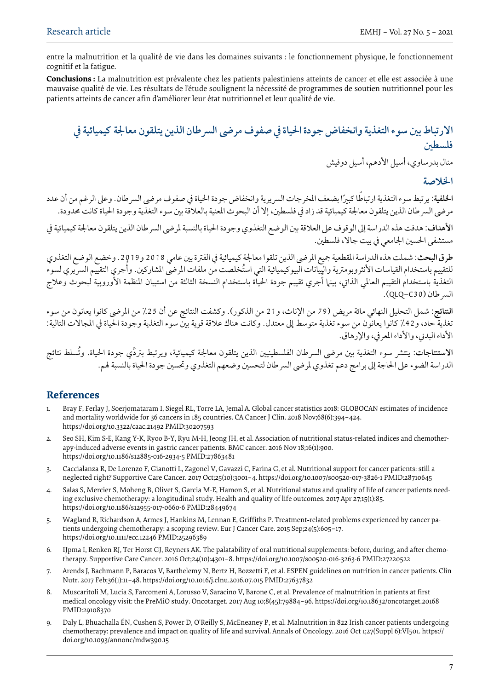entre la malnutrition et la qualité de vie dans les domaines suivants : le fonctionnement physique, le fonctionnement cognitif et la fatigue.

**Conclusions :** La malnutrition est prévalente chez les patients palestiniens atteints de cancer et elle est associée à une mauvaise qualité de vie. Les résultats de l'étude soulignent la nécessité de programmes de soutien nutritionnel pour les patients atteints de cancer afin d'améliorer leur état nutritionnel et leur qualité de vie.

# **االرتباط بني سوء التغذية وانخفاض جودة احلياة يف صفوف مرىض الرسطان الذين يتلقون معاجلة كيميائية يف فلسطني**

منال بدرساوي، أسيل الأدهم، أسيل دوفيش

### **اخلالصة**

الخلفية: يرتبط سوء التغذية ارتباطًا كبيرًا بضعف المخرجات السريرية وانخفاض جودة الحياة في صفوف مرضى السرطان. وعلى الرغم من أن عدد مرضي السرطان الذين يتلقون معالجة كيميائية قد زاد في فلسطين، إلا أن البحوث المعنية بالعلاقة بين سوء التغذية وجودة الحياة كانت محدودة.

**الأهداف**: هدفت هذه الدراسة إلى الوقوف على العلاقة بين الوضع التغذوي وجودة الحياة بالنسبة لمرضى السر طان الذين يتلقون معالجة كيميائية في مستشفى احلسني اجلامعي يف بيت جاال، فلسطني.

**طرق البحث:** شملت هذه الدراسة املقطعية مجيع املرىض الذين تلقوا معاجلة كيميائية يف الفرتة بني عامي 2018 و.2019 وخضع الوضع التغذوي للتقييم باستخدام القياسات الأنثروبومترية والپِيانات البيوكيميائية التي استُخلصت من ملفات المرضي المشاركين. وأجري التقييم السريري لسوء التغذية باستخدام التقييم العالمي الذاتي، بينها أجري تقييم جودة الحياة باستخدام النسخة الثالثة من استبيان المنظمة الأوروبية لبحوث وعلاج .)QLQ-C30( الرسطان

**النتائج:** شمل التحليل النهائي مائة مريض )79 من اإلناث، و21 من الذكور(. وكشفت النتائج عن أن %25 من املرىض كانوا يعانون من سوء تغذية حاد، و42٪ كانوا يعانون من سوء تغذية متوسط إلى معتدل. وكانت هناك علاقة قوية بين سوء التغذية وجودة الحياة في المجالات التالية: الأداء البدني، والأداء المعرفي، والإرهاق.

ا**لاستنتاجات**: ينتشر سوء التغذية بين مرضى السرطان الفلسطينيين الذين يتلقون معالجة كيميائية، ويرتبط بتردِّي جودة الحياة. وتُسلط نتائج الدراسة الضوء على الحاجة إلى برامج دعم تغذوي لمرضى السر طان لتحسين وضعهم التغذوي وتحسين جودة الحياة بالنسبة لهم.

# **References**

- 1. Bray F, Ferlay J, Soerjomataram I, Siegel RL, Torre LA, Jemal A. Global cancer statistics 2018: GLOBOCAN estimates of incidence and mortality worldwide for 36 cancers in 185 countries. CA Cancer J Clin. 2018 Nov;68(6):394–424. https://doi.org/10.3322/caac.21492 PMID:30207593
- 2. Seo SH, Kim S-E, Kang Y-K, Ryoo B-Y, Ryu M-H, Jeong JH, et al. Association of nutritional status-related indices and chemotherapy-induced adverse events in gastric cancer patients. BMC cancer. 2016 Nov 18;16(1):900. https://doi.org/10.1186/s12885-016-2934-5 PMID:27863481
- 3. Caccialanza R, De Lorenzo F, Gianotti L, Zagonel V, Gavazzi C, Farina G, et al. Nutritional support for cancer patients: still a neglected right? Supportive Care Cancer. 2017 Oct;25(10):3001–4. https://doi.org/10.1007/s00520-017-3826-1 PMID:28710645
- 4. Salas S, Mercier S, Moheng B, Olivet S, Garcia M-E, Hamon S, et al. Nutritional status and quality of life of cancer patients needing exclusive chemotherapy: a longitudinal study. Health and quality of life outcomes. 2017 Apr 27;15(1):85. https://doi.org/10.1186/s12955-017-0660-6 PMID:28449674
- 5. Wagland R, Richardson A, Armes J, Hankins M, Lennan E, Griffiths P. Treatment‐related problems experienced by cancer patients undergoing chemotherapy: a scoping review. Eur J Cancer Care. 2015 Sep;24(5):605–17. https://doi.org/10.1111/ecc.12246 PMID:25296389
- 6. IJpma I, Renken RJ, Ter Horst GJ, Reyners AK. The palatability of oral nutritional supplements: before, during, and after chemotherapy. Supportive Care Cancer. 2016 Oct;24(10):4301–8. https://doi.org/10.1007/s00520-016-3263-6 PMID:27220522
- 7. Arends J, Bachmann P, Baracos V, Barthelemy N, Bertz H, Bozzetti F, et al. ESPEN guidelines on nutrition in cancer patients. Clin Nutr. 2017 Feb;36(1):11–48. https://doi.org/10.1016/j.clnu.2016.07.015 PMID:27637832
- 8. Muscaritoli M, Lucia S, Farcomeni A, Lorusso V, Saracino V, Barone C, et al. Prevalence of malnutrition in patients at first medical oncology visit: the PreMiO study. Oncotarget. 2017 Aug 10;8(45):79884–96. https://doi.org/10.18632/oncotarget.20168 PMID:29108370
- 9. Daly L, Bhuachalla ÉN, Cushen S, Power D, O'Reilly S, McEneaney P, et al. Malnutrition in 822 Irish cancer patients undergoing chemotherapy: prevalence and impact on quality of life and survival. Annals of Oncology. 2016 Oct 1;27(Suppl 6):VI501. https:// doi.org/10.1093/annonc/mdw390.15